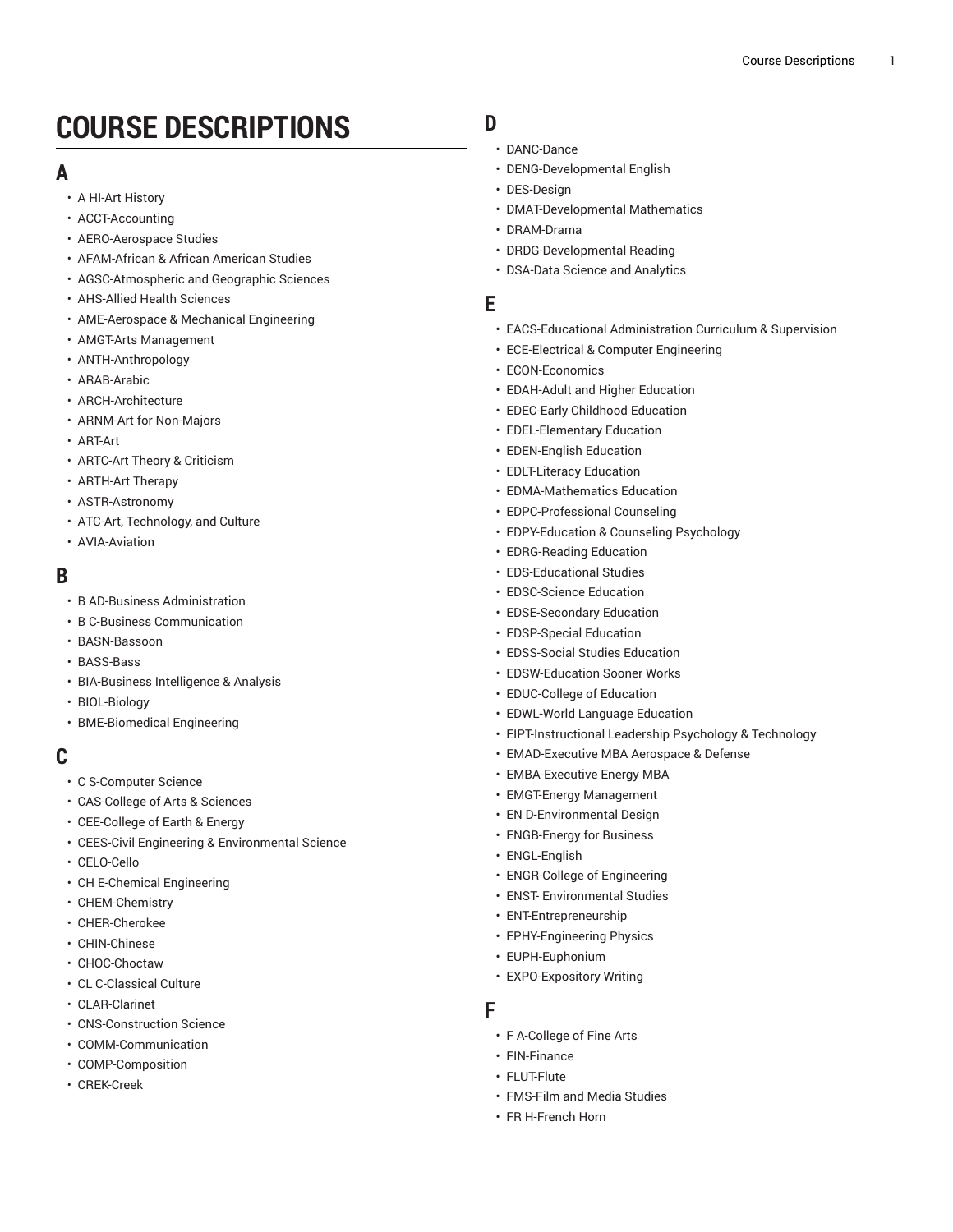# **COURSE DESCRIPTIONS**

## **A**

- A HI-Art [History](https://ou-public.courseleaf.com/archived-catalogs/2020-2021/courses/a_hi/)
- [ACCT-Accounting](https://ou-public.courseleaf.com/archived-catalogs/2020-2021/courses/acct/)
- [AERO-Aerospace](https://ou-public.courseleaf.com/archived-catalogs/2020-2021/courses/aero/) Studies
- [AFAM-African](https://ou-public.courseleaf.com/archived-catalogs/2020-2021/courses/afam/) & African American Studies
- [AGSC-Atmospheric](https://ou-public.courseleaf.com/archived-catalogs/2020-2021/courses/agsc/) and Geographic Sciences
- [AHS-Allied Health Sciences](https://ou-public.courseleaf.com/archived-catalogs/2020-2021/courses/ahs/)
- [AME-Aerospace](https://ou-public.courseleaf.com/archived-catalogs/2020-2021/courses/ame/) & Mechanical Engineering
- AMGT-Arts [Management](https://ou-public.courseleaf.com/archived-catalogs/2020-2021/courses/amgt/)
- [ANTH-Anthropology](https://ou-public.courseleaf.com/archived-catalogs/2020-2021/courses/anth/)
- [ARAB-Arabic](https://ou-public.courseleaf.com/archived-catalogs/2020-2021/courses/arab/)
- [ARCH-Architecture](https://ou-public.courseleaf.com/archived-catalogs/2020-2021/courses/arch/)
- ARNM-Art for [Non-Majors](https://ou-public.courseleaf.com/archived-catalogs/2020-2021/courses/arnm/)
- [ART-Art](https://ou-public.courseleaf.com/archived-catalogs/2020-2021/courses/art/)
- [ARTC-Art](https://ou-public.courseleaf.com/archived-catalogs/2020-2021/courses/artc/) Theory & Criticism
- [ARTH-Art](https://ou-public.courseleaf.com/archived-catalogs/2020-2021/courses/arth/) Therapy
- [ASTR-Astronomy](https://ou-public.courseleaf.com/archived-catalogs/2020-2021/courses/astr/)
- ATC-Art, [Technology,](https://ou-public.courseleaf.com/archived-catalogs/2020-2021/courses/atc/) and Culture
- [AVIA-Aviation](https://ou-public.courseleaf.com/archived-catalogs/2020-2021/courses/avia/)

## **B**

- [B AD-Business Administration](https://ou-public.courseleaf.com/archived-catalogs/2020-2021/courses/b_ad/)
- [B C-Business Communication](https://ou-public.courseleaf.com/archived-catalogs/2020-2021/courses/b_c/)
- [BASN-Bassoon](https://ou-public.courseleaf.com/archived-catalogs/2020-2021/courses/basn/)
- [BASS-Bass](https://ou-public.courseleaf.com/archived-catalogs/2020-2021/courses/bass/)
- [BIA-Business](https://ou-public.courseleaf.com/archived-catalogs/2020-2021/courses/bia/) Intelligence & Analysis
- [BIOL-Biology](https://ou-public.courseleaf.com/archived-catalogs/2020-2021/courses/biol/)
- [BME-Biomedical Engineering](https://ou-public.courseleaf.com/archived-catalogs/2020-2021/courses/bme/)

## **C**

- [C S-Computer Science](https://ou-public.courseleaf.com/archived-catalogs/2020-2021/courses/c_s/)
- [CAS-College](https://ou-public.courseleaf.com/archived-catalogs/2020-2021/courses/cas/) of Arts & Sciences
- [CEE-College](https://ou-public.courseleaf.com/archived-catalogs/2020-2021/courses/cee/) of Earth & Energy
- CEES-Civil Engineering & [Environmental](https://ou-public.courseleaf.com/archived-catalogs/2020-2021/courses/cees/) Science
- [CELO-Cello](https://ou-public.courseleaf.com/archived-catalogs/2020-2021/courses/celo/)
- [CH E-Chemical Engineering](https://ou-public.courseleaf.com/archived-catalogs/2020-2021/courses/ch_e/)
- [CHEM-Chemistry](https://ou-public.courseleaf.com/archived-catalogs/2020-2021/courses/chem/)
- [CHER-Cherokee](https://ou-public.courseleaf.com/archived-catalogs/2020-2021/courses/cher/)
- [CHIN-Chinese](https://ou-public.courseleaf.com/archived-catalogs/2020-2021/courses/chin/)
- [CHOC-Choctaw](https://ou-public.courseleaf.com/archived-catalogs/2020-2021/courses/choc/)
- CL [C-Classical](https://ou-public.courseleaf.com/archived-catalogs/2020-2021/courses/cl_c/) Culture
- [CLAR-Clarinet](https://ou-public.courseleaf.com/archived-catalogs/2020-2021/courses/clar/)
- [CNS-Construction Science](https://ou-public.courseleaf.com/archived-catalogs/2020-2021/courses/cns/)
- [COMM-Communication](https://ou-public.courseleaf.com/archived-catalogs/2020-2021/courses/comm/)
- [COMP-Composition](https://ou-public.courseleaf.com/archived-catalogs/2020-2021/courses/comp/)
- [CREK-Creek](https://ou-public.courseleaf.com/archived-catalogs/2020-2021/courses/crek/)

## **D**

- DA[N](https://ou-public.courseleaf.com/archived-catalogs/2020-2021/courses/danc/)C-Dance
- DENG-Developmental En[glis](https://ou-public.courseleaf.com/archived-catalogs/2020-2021/courses/deng/)h
- [DES-Design](https://ou-public.courseleaf.com/archived-catalogs/2020-2021/courses/des/)
- [DMAT-Develo](https://ou-public.courseleaf.com/archived-catalogs/2020-2021/courses/dmat/)pmental Mathematics
- [DRAM-Drama](https://ou-public.courseleaf.com/archived-catalogs/2020-2021/courses/dram/)
- [DRDG-Develop](https://ou-public.courseleaf.com/archived-catalogs/2020-2021/courses/drdg/)mental Reading
- [DSA-Data Science and Analytics](https://ou-public.courseleaf.com/archived-catalogs/2020-2021/courses/dsa/)

#### **E**

- EACS-Educational Ad[minis](https://ou-public.courseleaf.com/archived-catalogs/2020-2021/courses/eacs/)tration Curriculum & Supervision
- [ECE-Electrical & Computer Engineering](https://ou-public.courseleaf.com/archived-catalogs/2020-2021/courses/ece/)
- [ECON-Economics](https://ou-public.courseleaf.com/archived-catalogs/2020-2021/courses/econ/)
- [EDAH-Adult](https://ou-public.courseleaf.com/archived-catalogs/2020-2021/courses/edah/) and Higher Education
- [EDEC-Early](https://ou-public.courseleaf.com/archived-catalogs/2020-2021/courses/edec/) Childhood Education
- [EDEL-Elementary](https://ou-public.courseleaf.com/archived-catalogs/2020-2021/courses/edel/) Education
- [EDEN-English](https://ou-public.courseleaf.com/archived-catalogs/2020-2021/courses/eden/) Education
- [EDLT-Literacy](https://ou-public.courseleaf.com/archived-catalogs/2020-2021/courses/edlt/) Education
- [EDMA-Mathematics](https://ou-public.courseleaf.com/archived-catalogs/2020-2021/courses/edma/) Education
- [EDPC-Professional](https://ou-public.courseleaf.com/archived-catalogs/2020-2021/courses/edpc/) Counseling
- [EDPY-Education](https://ou-public.courseleaf.com/archived-catalogs/2020-2021/courses/edpy/) & Counseling Psychology
- EDRG-Rea[din](https://ou-public.courseleaf.com/archived-catalogs/2020-2021/courses/edrg/)g Education
- EDS-Educational Stu[die](https://ou-public.courseleaf.com/archived-catalogs/2020-2021/courses/eds/)s
- EDSC-S[cie](https://ou-public.courseleaf.com/archived-catalogs/2020-2021/courses/edsc/)nce Education
- EDSE-Secondary Educa[tio](https://ou-public.courseleaf.com/archived-catalogs/2020-2021/courses/edse/)n
- EDSP-Spe[cial](https://ou-public.courseleaf.com/archived-catalogs/2020-2021/courses/edsp/) Education
- EDSS-So[cial](https://ou-public.courseleaf.com/archived-catalogs/2020-2021/courses/edss/) Studies Education
- EDSW-Educa[tio](https://ou-public.courseleaf.com/archived-catalogs/2020-2021/courses/edsw/)n Sooner Works
- EDUC-C[olle](https://ou-public.courseleaf.com/archived-catalogs/2020-2021/courses/educ/)ge of Education
- EDWL-World Language Educa[tio](https://ou-public.courseleaf.com/archived-catalogs/2020-2021/courses/edwl/)n
- EIP[T-In](https://ou-public.courseleaf.com/archived-catalogs/2020-2021/courses/eipt/)structional Leadership Psychology & Technology
- EMAD-Execu[tiv](https://ou-public.courseleaf.com/archived-catalogs/2020-2021/courses/emad/)e MBA Aerospace & Defense
- EMBA-Execu[tiv](https://ou-public.courseleaf.com/archived-catalogs/2020-2021/courses/emba/)e Energy MBA
- E[M](https://ou-public.courseleaf.com/archived-catalogs/2020-2021/courses/emgt/)GT-Energy Management
- EN D-Environmental De[sig](https://ou-public.courseleaf.com/archived-catalogs/2020-2021/courses/en_d/)n
- ENGB-Energy for Bu[sin](https://ou-public.courseleaf.com/archived-catalogs/2020-2021/courses/engb/)ess
- [ENGL-English](https://ou-public.courseleaf.com/archived-catalogs/2020-2021/courses/engl/)
- [ENGR-College of Engineering](https://ou-public.courseleaf.com/archived-catalogs/2020-2021/courses/engr/)
- ENST- [Environmental](https://ou-public.courseleaf.com/archived-catalogs/2020-2021/courses/enst/) Studies
- [ENT-Entrepreneurship](https://ou-public.courseleaf.com/archived-catalogs/2020-2021/courses/ent/)
- [EPHY-Engineering](https://ou-public.courseleaf.com/archived-catalogs/2020-2021/courses/ephy/) Physics
- [EUPH-Euphonium](https://ou-public.courseleaf.com/archived-catalogs/2020-2021/courses/euph/)
- [EXPO-Expository](https://ou-public.courseleaf.com/archived-catalogs/2020-2021/courses/expo/) Writing

## **F**

- F A-C[olle](https://ou-public.courseleaf.com/archived-catalogs/2020-2021/courses/f_a/)ge of Fine Arts
- [FIN-Finance](https://ou-public.courseleaf.com/archived-catalogs/2020-2021/courses/fin/)
- [FLUT-Flute](https://ou-public.courseleaf.com/archived-catalogs/2020-2021/courses/flut/)
- [FMS-Film and Media Studies](https://ou-public.courseleaf.com/archived-catalogs/2020-2021/courses/fms/)
- FR [H-French](https://ou-public.courseleaf.com/archived-catalogs/2020-2021/courses/fr_h/) Horn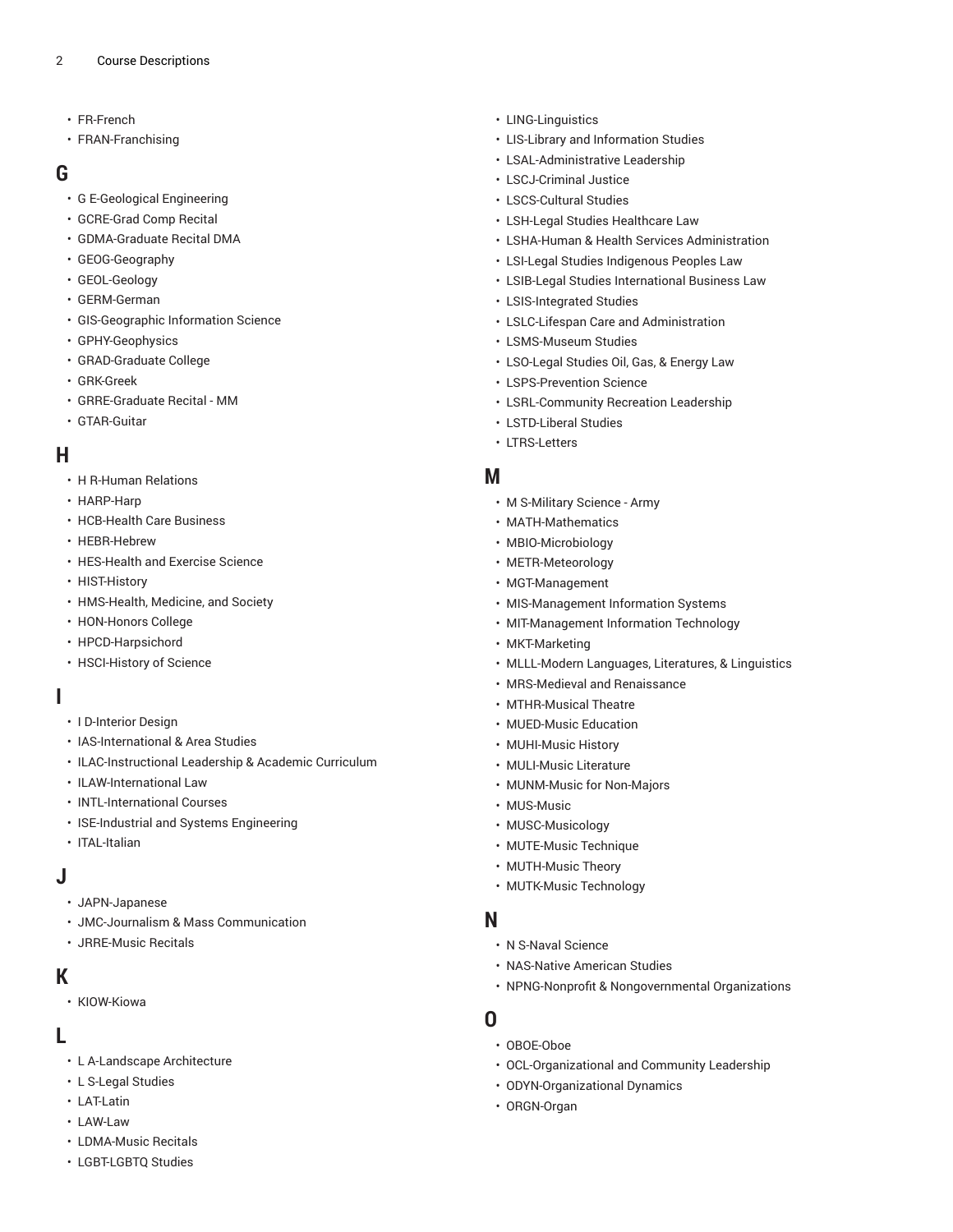- [FR-French](https://ou-public.courseleaf.com/archived-catalogs/2020-2021/courses/fr/)
- [FRAN-Franchising](https://ou-public.courseleaf.com/archived-catalogs/2020-2021/courses/fran/)

### **G**

- [G E-Geological Engineering](https://ou-public.courseleaf.com/archived-catalogs/2020-2021/courses/g_e/)
- [GCRE-Grad Comp Recital](https://ou-public.courseleaf.com/archived-catalogs/2020-2021/courses/gcre/)
- [GDMA-Graduate](https://ou-public.courseleaf.com/archived-catalogs/2020-2021/courses/gdma/) Recital DMA
- [GEOG-Geography](https://ou-public.courseleaf.com/archived-catalogs/2020-2021/courses/geog/)
- [GEOL-Geology](https://ou-public.courseleaf.com/archived-catalogs/2020-2021/courses/geol/)
- [GERM-German](https://ou-public.courseleaf.com/archived-catalogs/2020-2021/courses/germ/)
- [GIS-Geographic Information Science](https://ou-public.courseleaf.com/archived-catalogs/2020-2021/courses/gis/)
- [GPHY-Geophysics](https://ou-public.courseleaf.com/archived-catalogs/2020-2021/courses/gphy/)
- [GRAD-Graduate College](https://ou-public.courseleaf.com/archived-catalogs/2020-2021/courses/grad/)
- [GRK-Greek](https://ou-public.courseleaf.com/archived-catalogs/2020-2021/courses/grk/)
- [GRRE-Graduate Recital MM](https://ou-public.courseleaf.com/archived-catalogs/2020-2021/courses/grre/)
- [GTAR-Guitar](https://ou-public.courseleaf.com/archived-catalogs/2020-2021/courses/gtar/)

### **H**

- [H R-Human Relations](https://ou-public.courseleaf.com/archived-catalogs/2020-2021/courses/h_r/)
- [HARP-Harp](https://ou-public.courseleaf.com/archived-catalogs/2020-2021/courses/harp/)
- [HCB-Health](https://ou-public.courseleaf.com/archived-catalogs/2020-2021/courses/hcb/) Care Business
- [HEBR-Hebrew](https://ou-public.courseleaf.com/archived-catalogs/2020-2021/courses/hebr/)
- [HES-Health](https://ou-public.courseleaf.com/archived-catalogs/2020-2021/courses/hes/) and Exercise Science
- [HIST-History](https://ou-public.courseleaf.com/archived-catalogs/2020-2021/courses/hist/)
- [HMS-Health, Medicine, and Society](https://ou-public.courseleaf.com/archived-catalogs/2020-2021/courses/hms/)
- [HON-Honors College](https://ou-public.courseleaf.com/archived-catalogs/2020-2021/courses/hon/)
- [HPCD-Harpsichord](https://ou-public.courseleaf.com/archived-catalogs/2020-2021/courses/hpcd/)
- [HSCI-History](https://ou-public.courseleaf.com/archived-catalogs/2020-2021/courses/hsci/) of Science

#### **I**

- [I D-Interior Design](https://ou-public.courseleaf.com/archived-catalogs/2020-2021/courses/i_d/)
- [IAS-International](https://ou-public.courseleaf.com/archived-catalogs/2020-2021/courses/ias/) & Area Studies
- [ILAC-Instructional](https://ou-public.courseleaf.com/archived-catalogs/2020-2021/courses/ilac/) Leadership & Academic Curriculum
- [ILAW-International](https://ou-public.courseleaf.com/archived-catalogs/2020-2021/courses/ilaw/) Law
- [INTL-International](https://ou-public.courseleaf.com/archived-catalogs/2020-2021/courses/intl/) Courses
- [ISE-Industrial and Systems Engineering](https://ou-public.courseleaf.com/archived-catalogs/2020-2021/courses/ise/)
- [ITAL-Italian](https://ou-public.courseleaf.com/archived-catalogs/2020-2021/courses/ital/)

#### **J**

- [JAPN-Japanese](https://ou-public.courseleaf.com/archived-catalogs/2020-2021/courses/japn/)
- [JMC-Journalism & Mass Communication](https://ou-public.courseleaf.com/archived-catalogs/2020-2021/courses/jmc/)
- [JRRE-Music Recitals](https://ou-public.courseleaf.com/archived-catalogs/2020-2021/courses/jrre/)

#### **K**

• [KIOW-Kiowa](https://ou-public.courseleaf.com/archived-catalogs/2020-2021/courses/kiow/)

## **L**

- L [A-Landscape](https://ou-public.courseleaf.com/archived-catalogs/2020-2021/courses/l_a/) Architecture
- [L S-Legal Studies](https://ou-public.courseleaf.com/archived-catalogs/2020-2021/courses/l_s/)
- [LAT-Latin](https://ou-public.courseleaf.com/archived-catalogs/2020-2021/courses/lat/)
- [LAW-Law](https://ou-public.courseleaf.com/archived-catalogs/2020-2021/courses/law/)
- [LDMA-Music](https://ou-public.courseleaf.com/archived-catalogs/2020-2021/courses/ldma/) Recitals
- [LGBT-LGBTQ](https://ou-public.courseleaf.com/archived-catalogs/2020-2021/courses/lgbt/) Studies
- [LING-Linguistics](https://ou-public.courseleaf.com/archived-catalogs/2020-2021/courses/ling/)
- LIS-Library and [Information](https://ou-public.courseleaf.com/archived-catalogs/2020-2021/courses/lis/) Studies
- [LSAL-Administrative](https://ou-public.courseleaf.com/archived-catalogs/2020-2021/courses/lsal/) Leadership
- [LSCJ-Criminal Justice](https://ou-public.courseleaf.com/archived-catalogs/2020-2021/courses/lscj/)
- [LSCS-Cultural Studies](https://ou-public.courseleaf.com/archived-catalogs/2020-2021/courses/lscs/)
- LSH-Legal Studies [Healthcare](https://ou-public.courseleaf.com/archived-catalogs/2020-2021/courses/lsh/) Law
- LSHA-Human & Health Services [Administration](https://ou-public.courseleaf.com/archived-catalogs/2020-2021/courses/lsha/)
- LSI-Legal Studies [Indigenous](https://ou-public.courseleaf.com/archived-catalogs/2020-2021/courses/lsi/) Peoples Law
- [LSIB-Legal Studies International Business Law](https://ou-public.courseleaf.com/archived-catalogs/2020-2021/courses/lsib/)
- [LSIS-Integrated Studies](https://ou-public.courseleaf.com/archived-catalogs/2020-2021/courses/lsis/)
- LSLC-Lifespan Care and [Administration](https://ou-public.courseleaf.com/archived-catalogs/2020-2021/courses/lslc/)
- [LSMS-Museum Studies](https://ou-public.courseleaf.com/archived-catalogs/2020-2021/courses/lsms/)
- [LSO-Legal](https://ou-public.courseleaf.com/archived-catalogs/2020-2021/courses/lso/) Studies Oil, Gas, & Energy Law
- [LSPS-Prevention](https://ou-public.courseleaf.com/archived-catalogs/2020-2021/courses/lsps/) Science
- [LSRL-Community](https://ou-public.courseleaf.com/archived-catalogs/2020-2021/courses/lsrl/) Recreation Leadership
- [LSTD-Liberal Studies](https://ou-public.courseleaf.com/archived-catalogs/2020-2021/courses/lstd/)
- [LTRS-Letters](https://ou-public.courseleaf.com/archived-catalogs/2020-2021/courses/ltrs/)

## **M**

- M [S-Military](https://ou-public.courseleaf.com/archived-catalogs/2020-2021/courses/m_s/) Science Army
- [MATH-Mathematics](https://ou-public.courseleaf.com/archived-catalogs/2020-2021/courses/math/)
- [MBIO-Microbiology](https://ou-public.courseleaf.com/archived-catalogs/2020-2021/courses/mbio/)
- [METR-Meteorology](https://ou-public.courseleaf.com/archived-catalogs/2020-2021/courses/metr/)
- [MGT-Management](https://ou-public.courseleaf.com/archived-catalogs/2020-2021/courses/mgt/)
- [MIS-Management Information Systems](https://ou-public.courseleaf.com/archived-catalogs/2020-2021/courses/mis/)
- [MIT-Management](https://ou-public.courseleaf.com/archived-catalogs/2020-2021/courses/mit/) Information Technology
- [MKT-Marketing](https://ou-public.courseleaf.com/archived-catalogs/2020-2021/courses/mkt/)
- [MLLL-Modern](https://ou-public.courseleaf.com/archived-catalogs/2020-2021/courses/mlll/) Languages, Literatures, & Linguistics
- [MRS-Medieval](https://ou-public.courseleaf.com/archived-catalogs/2020-2021/courses/mrs/) and Renaissance
- [MTHR-Musical](https://ou-public.courseleaf.com/archived-catalogs/2020-2021/courses/mthr/) Theatre
- [MUED-Music](https://ou-public.courseleaf.com/archived-catalogs/2020-2021/courses/mued/) Education
- [MUHI-Music](https://ou-public.courseleaf.com/archived-catalogs/2020-2021/courses/muhi/) History
- [MULI-Music](https://ou-public.courseleaf.com/archived-catalogs/2020-2021/courses/muli/) Literature
- [MUNM-Music for Non-Majors](https://ou-public.courseleaf.com/archived-catalogs/2020-2021/courses/munm/)
- [MUS-Music](https://ou-public.courseleaf.com/archived-catalogs/2020-2021/courses/mus/)
- [MUSC-Musicology](https://ou-public.courseleaf.com/archived-catalogs/2020-2021/courses/musc/)
- [MUTE-Music](https://ou-public.courseleaf.com/archived-catalogs/2020-2021/courses/mute/) Technique
- [MUTH-Music](https://ou-public.courseleaf.com/archived-catalogs/2020-2021/courses/muth/) Theory
- [MUTK-Music](https://ou-public.courseleaf.com/archived-catalogs/2020-2021/courses/mutk/) Technology

#### **N**

- N S-Naval [Science](https://ou-public.courseleaf.com/archived-catalogs/2020-2021/courses/n_s/)
- [NAS-Native](https://ou-public.courseleaf.com/archived-catalogs/2020-2021/courses/nas/) American Studies
- NPNG-Nonprofit & [Nongovernmental](https://ou-public.courseleaf.com/archived-catalogs/2020-2021/courses/npng/) Organizations

#### **O**

- [OBOE-Oboe](https://ou-public.courseleaf.com/archived-catalogs/2020-2021/courses/oboe/)
- [OCL-Organizational](https://ou-public.courseleaf.com/archived-catalogs/2020-2021/courses/ocl/) and Community Leadership
- [ODYN-Organizational](https://ou-public.courseleaf.com/archived-catalogs/2020-2021/courses/odyn/) Dynamics
- [ORGN-Organ](https://ou-public.courseleaf.com/archived-catalogs/2020-2021/courses/orgn/)